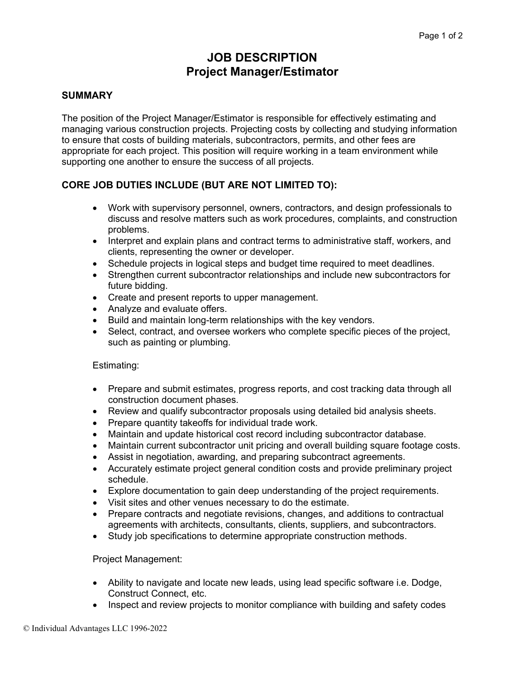# **JOB DESCRIPTION Project Manager/Estimator**

# **SUMMARY**

The position of the Project Manager/Estimator is responsible for effectively estimating and managing various construction projects. Projecting costs by collecting and studying information to ensure that costs of building materials, subcontractors, permits, and other fees are appropriate for each project. This position will require working in a team environment while supporting one another to ensure the success of all projects.

# **CORE JOB DUTIES INCLUDE (BUT ARE NOT LIMITED TO):**

- Work with supervisory personnel, owners, contractors, and design professionals to discuss and resolve matters such as work procedures, complaints, and construction problems.
- Interpret and explain plans and contract terms to administrative staff, workers, and clients, representing the owner or developer.
- Schedule projects in logical steps and budget time required to meet deadlines.
- Strengthen current subcontractor relationships and include new subcontractors for future bidding.
- Create and present reports to upper management.
- Analyze and evaluate offers.
- Build and maintain long-term relationships with the key vendors.
- Select, contract, and oversee workers who complete specific pieces of the project, such as painting or plumbing.

#### Estimating:

- Prepare and submit estimates, progress reports, and cost tracking data through all construction document phases.
- Review and qualify subcontractor proposals using detailed bid analysis sheets.
- Prepare quantity takeoffs for individual trade work.
- Maintain and update historical cost record including subcontractor database.
- Maintain current subcontractor unit pricing and overall building square footage costs.
- Assist in negotiation, awarding, and preparing subcontract agreements.
- Accurately estimate project general condition costs and provide preliminary project schedule.
- Explore documentation to gain deep understanding of the project requirements.
- Visit sites and other venues necessary to do the estimate.
- Prepare contracts and negotiate revisions, changes, and additions to contractual agreements with architects, consultants, clients, suppliers, and subcontractors.
- Study job specifications to determine appropriate construction methods.

#### Project Management:

- Ability to navigate and locate new leads, using lead specific software i.e. Dodge, Construct Connect, etc.
- Inspect and review projects to monitor compliance with building and safety codes